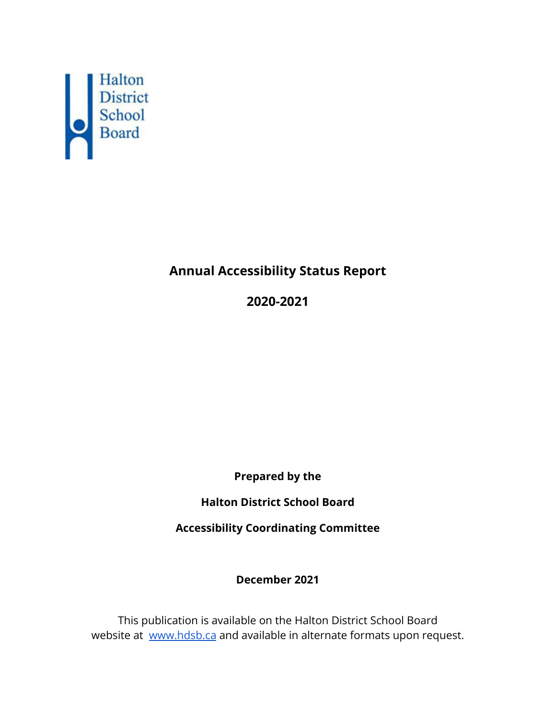

# **Annual Accessibility Status Report**

**2020-2021**

**Prepared by the**

**Halton District School Board**

**Accessibility Coordinating Committee**

**December 2021**

This publication is available on the Halton District School Board website at [www.hdsb.ca](http://www.hdsb.ca) and available in alternate formats upon request.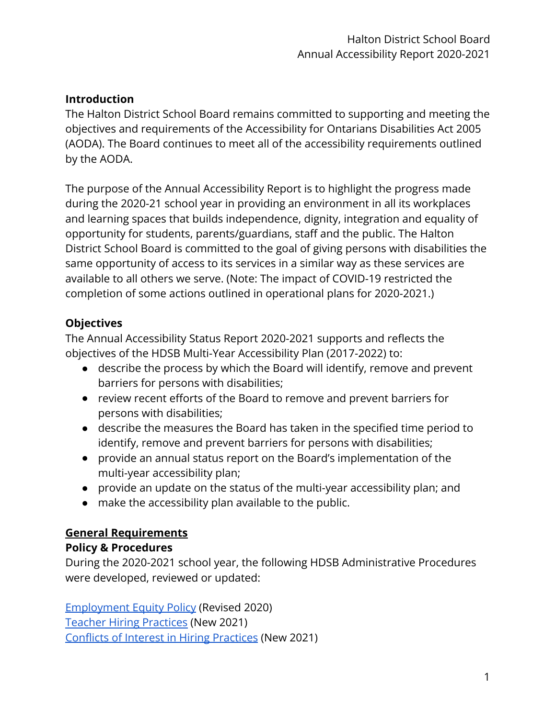### **Introduction**

The Halton District School Board remains committed to supporting and meeting the objectives and requirements of the Accessibility for Ontarians Disabilities Act 2005 (AODA). The Board continues to meet all of the accessibility requirements outlined by the AODA.

The purpose of the Annual Accessibility Report is to highlight the progress made during the 2020-21 school year in providing an environment in all its workplaces and learning spaces that builds independence, dignity, integration and equality of opportunity for students, parents/guardians, staff and the public. The Halton District School Board is committed to the goal of giving persons with disabilities the same opportunity of access to its services in a similar way as these services are available to all others we serve. (Note: The impact of COVID-19 restricted the completion of some actions outlined in operational plans for 2020-2021.)

# **Objectives**

The Annual Accessibility Status Report 2020-2021 supports and reflects the objectives of the HDSB Multi-Year Accessibility Plan (2017-2022) to:

- describe the process by which the Board will identify, remove and prevent barriers for persons with disabilities;
- review recent efforts of the Board to remove and prevent barriers for persons with disabilities;
- describe the measures the Board has taken in the specified time period to identify, remove and prevent barriers for persons with disabilities;
- provide an annual status report on the Board's implementation of the multi-year accessibility plan;
- provide an update on the status of the multi-year accessibility plan; and
- make the accessibility plan available to the public.

# **General Requirements**

### **Policy & Procedures**

During the 2020-2021 school year, the following HDSB Administrative Procedures were developed, reviewed or updated:

[Employment Equity Policy](https://www.hdsb.ca/our-board/Policy/EmploymentEquityPolicy.pdf) (Revised 2020) [Teacher Hiring Practices](https://www.hdsb.ca/our-board/Policy/TeacherHiringPractices.pdf) (New 2021) [Conflicts of Interest in Hiring Practices](https://www.hdsb.ca/our-board/Policy/ConflictofInterestHiring.pdf) (New 2021)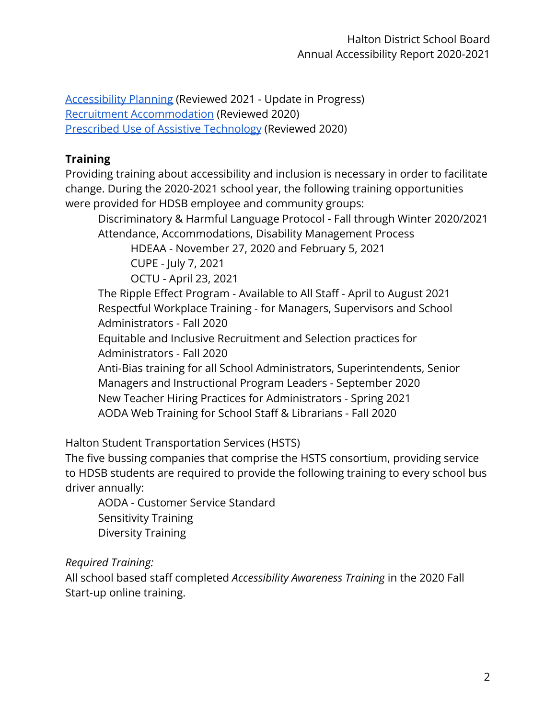[Accessibility Planning](https://www.hdsb.ca/our-board/Policy/AccessibilityPlanning.pdf) (Reviewed 2021 - Update in Progress) [Recruitment Accommodation](https://www.hdsb.ca/our-board/Policy/RecruitmentAccommodation.pdf) (Reviewed 2020) [Prescribed Use of Assistive Technology](https://www.hdsb.ca/our-board/Policy/PrescribedUseOfAssistiveTechnology.pdf) (Reviewed 2020)

# **Training**

Providing training about accessibility and inclusion is necessary in order to facilitate change. During the 2020-2021 school year, the following training opportunities were provided for HDSB employee and community groups:

Discriminatory & Harmful Language Protocol - Fall through Winter 2020/2021 Attendance, Accommodations, Disability Management Process

HDEAA - November 27, 2020 and February 5, 2021

CUPE - July 7, 2021

OCTU - April 23, 2021

The Ripple Effect Program - Available to All Staff - April to August 2021 Respectful Workplace Training - for Managers, Supervisors and School Administrators - Fall 2020

Equitable and Inclusive Recruitment and Selection practices for Administrators - Fall 2020

Anti-Bias training for all School Administrators, Superintendents, Senior Managers and Instructional Program Leaders - September 2020 New Teacher Hiring Practices for Administrators - Spring 2021 AODA Web Training for School Staff & Librarians - Fall 2020

Halton Student Transportation Services (HSTS)

The five bussing companies that comprise the HSTS consortium, providing service to HDSB students are required to provide the following training to every school bus driver annually:

AODA - Customer Service Standard Sensitivity Training Diversity Training

*Required Training:*

All school based staff completed *Accessibility Awareness Training* in the 2020 Fall Start-up online training.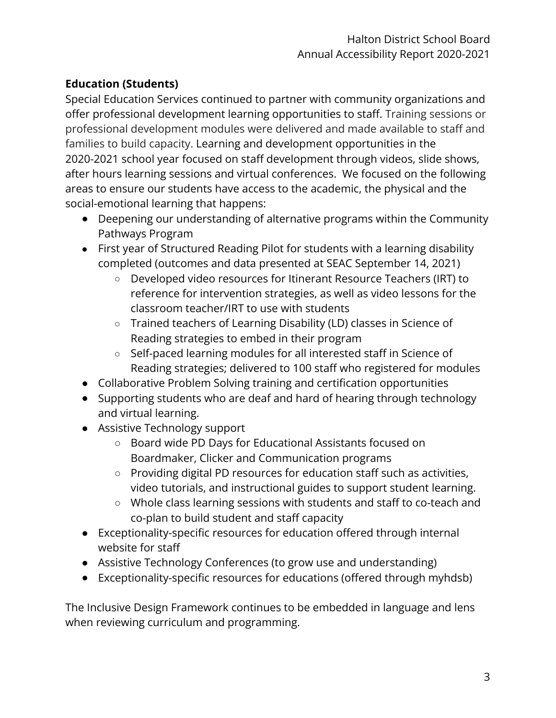# **Education (Students)**

Special Education Services continued to partner with community organizations and offer professional development learning opportunities to staff. Training sessions or professional development modules were delivered and made available to staff and families to build capacity. Learning and development opportunities in the 2020-2021 school year focused on staff development through videos, slide shows, after hours learning sessions and virtual conferences. We focused on the following areas to ensure our students have access to the academic, the physical and the social-emotional learning that happens:

- Deepening our understanding of alternative programs within the Community Pathways Program
- First year of Structured Reading Pilot for students with a learning disability completed (outcomes and data presented at SEAC September 14, 2021)
	- Developed video resources for Itinerant Resource Teachers (IRT) to reference for intervention strategies, as well as video lessons for the classroom teacher/IRT to use with students
	- Trained teachers of Learning Disability (LD) classes in Science of Reading strategies to embed in their program
	- Self-paced learning modules for all interested staff in Science of Reading strategies; delivered to 100 staff who registered for modules
- Collaborative Problem Solving training and certification opportunities
- Supporting students who are deaf and hard of hearing through technology and virtual learning.
- Assistive Technology support
	- Board wide PD Days for Educational Assistants focused on Boardmaker, Clicker and Communication programs
	- Providing digital PD resources for education staff such as activities, video tutorials, and instructional guides to support student learning.
	- Whole class learning sessions with students and staff to co-teach and co-plan to build student and staff capacity
- Exceptionality-specific resources for education offered through internal website for staff
- Assistive Technology Conferences (to grow use and understanding)
- Exceptionality-specific resources for educations (offered through myhdsb)

The Inclusive Design Framework continues to be embedded in language and lens when reviewing curriculum and programming.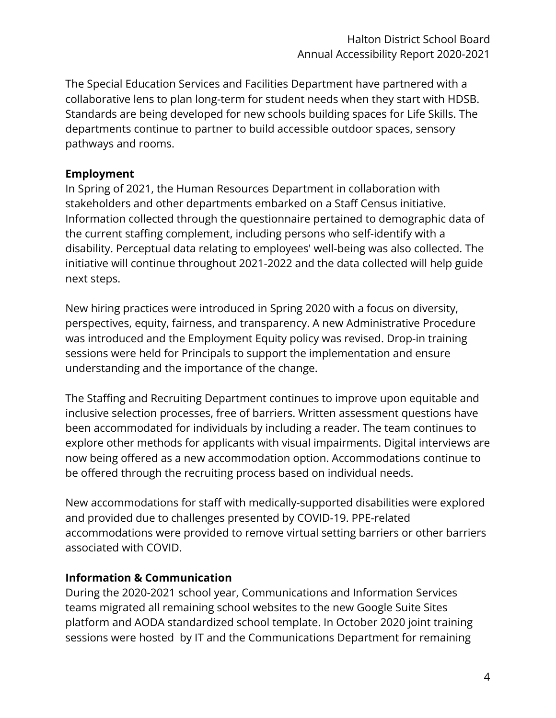The Special Education Services and Facilities Department have partnered with a collaborative lens to plan long-term for student needs when they start with HDSB. Standards are being developed for new schools building spaces for Life Skills. The departments continue to partner to build accessible outdoor spaces, sensory pathways and rooms.

### **Employment**

In Spring of 2021, the Human Resources Department in collaboration with stakeholders and other departments embarked on a Staff Census initiative. Information collected through the questionnaire pertained to demographic data of the current staffing complement, including persons who self-identify with a disability. Perceptual data relating to employees' well-being was also collected. The initiative will continue throughout 2021-2022 and the data collected will help guide next steps.

New hiring practices were introduced in Spring 2020 with a focus on diversity, perspectives, equity, fairness, and transparency. A new Administrative Procedure was introduced and the Employment Equity policy was revised. Drop-in training sessions were held for Principals to support the implementation and ensure understanding and the importance of the change.

The Staffing and Recruiting Department continues to improve upon equitable and inclusive selection processes, free of barriers. Written assessment questions have been accommodated for individuals by including a reader. The team continues to explore other methods for applicants with visual impairments. Digital interviews are now being offered as a new accommodation option. Accommodations continue to be offered through the recruiting process based on individual needs.

New accommodations for staff with medically-supported disabilities were explored and provided due to challenges presented by COVID-19. PPE-related accommodations were provided to remove virtual setting barriers or other barriers associated with COVID.

### **Information & Communication**

During the 2020-2021 school year, Communications and Information Services teams migrated all remaining school websites to the new Google Suite Sites platform and AODA standardized school template. In October 2020 joint training sessions were hosted by IT and the Communications Department for remaining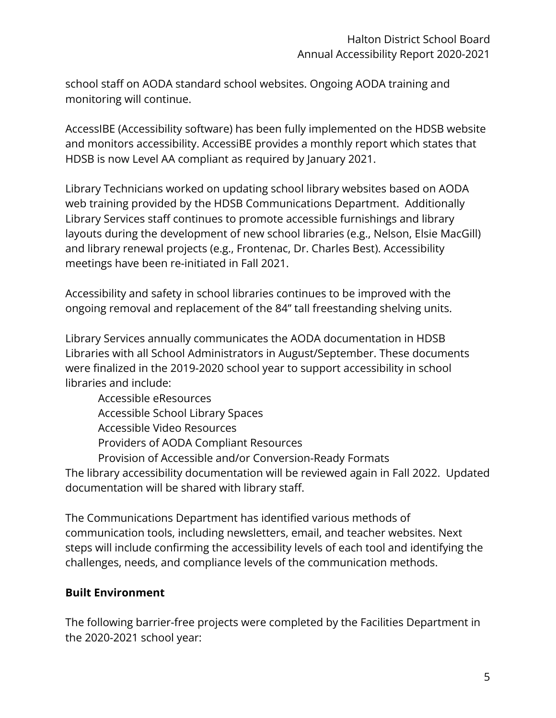school staff on AODA standard school websites. Ongoing AODA training and monitoring will continue.

AccessIBE (Accessibility software) has been fully implemented on the HDSB website and monitors accessibility. AccessiBE provides a monthly report which states that HDSB is now Level AA compliant as required by January 2021.

Library Technicians worked on updating school library websites based on AODA web training provided by the HDSB Communications Department. Additionally Library Services staff continues to promote accessible furnishings and library layouts during the development of new school libraries (e.g., Nelson, Elsie MacGill) and library renewal projects (e.g., Frontenac, Dr. Charles Best). Accessibility meetings have been re-initiated in Fall 2021.

Accessibility and safety in school libraries continues to be improved with the ongoing removal and replacement of the 84" tall freestanding shelving units.

Library Services annually communicates the AODA documentation in HDSB Libraries with all School Administrators in August/September. These documents were finalized in the 2019-2020 school year to support accessibility in school libraries and include:

Accessible eResources Accessible School Library Spaces Accessible Video Resources Providers of AODA Compliant Resources Provision of Accessible and/or Conversion-Ready Formats

The library accessibility documentation will be reviewed again in Fall 2022. Updated documentation will be shared with library staff.

The Communications Department has identified various methods of communication tools, including newsletters, email, and teacher websites. Next steps will include confirming the accessibility levels of each tool and identifying the challenges, needs, and compliance levels of the communication methods.

### **Built Environment**

The following barrier-free projects were completed by the Facilities Department in the 2020-2021 school year: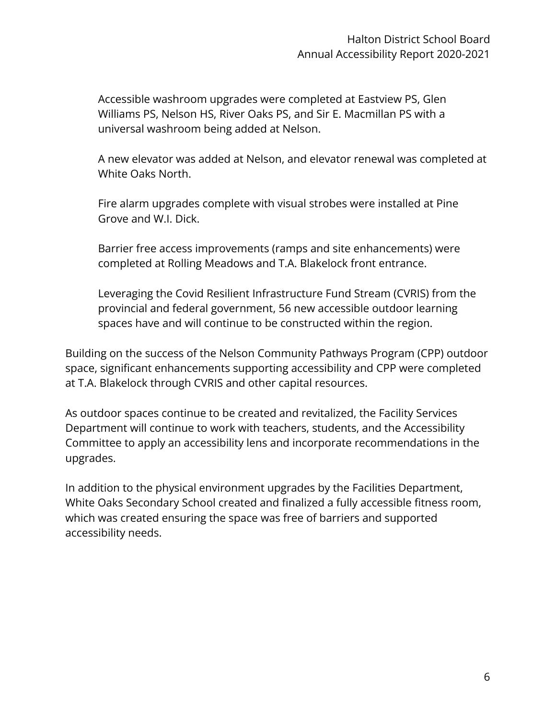Accessible washroom upgrades were completed at Eastview PS, Glen Williams PS, Nelson HS, River Oaks PS, and Sir E. Macmillan PS with a universal washroom being added at Nelson.

A new elevator was added at Nelson, and elevator renewal was completed at White Oaks North.

Fire alarm upgrades complete with visual strobes were installed at Pine Grove and W.I. Dick.

Barrier free access improvements (ramps and site enhancements) were completed at Rolling Meadows and T.A. Blakelock front entrance.

Leveraging the Covid Resilient Infrastructure Fund Stream (CVRIS) from the provincial and federal government, 56 new accessible outdoor learning spaces have and will continue to be constructed within the region.

Building on the success of the Nelson Community Pathways Program (CPP) outdoor space, significant enhancements supporting accessibility and CPP were completed at T.A. Blakelock through CVRIS and other capital resources.

As outdoor spaces continue to be created and revitalized, the Facility Services Department will continue to work with teachers, students, and the Accessibility Committee to apply an accessibility lens and incorporate recommendations in the upgrades.

In addition to the physical environment upgrades by the Facilities Department, White Oaks Secondary School created and finalized a fully accessible fitness room, which was created ensuring the space was free of barriers and supported accessibility needs.